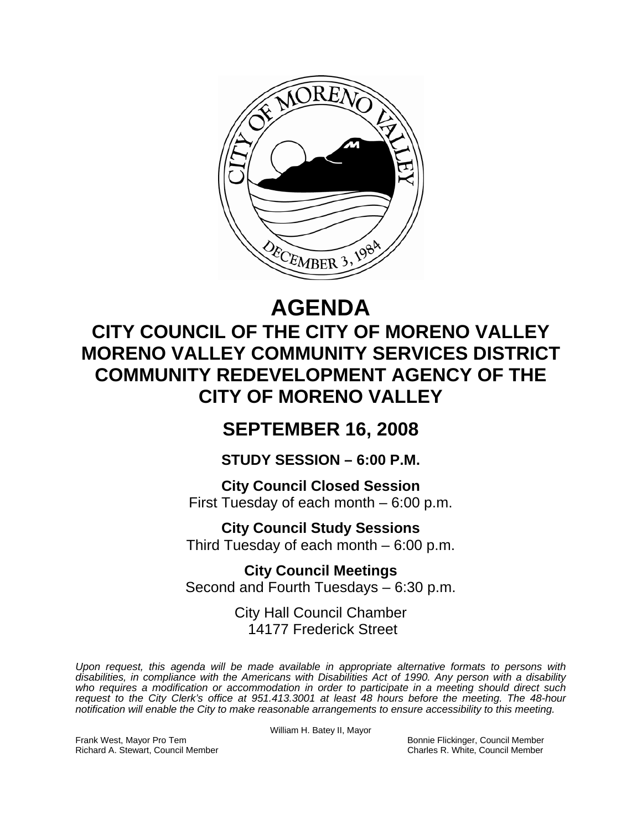

# **AGENDA**

## **CITY COUNCIL OF THE CITY OF MORENO VALLEY MORENO VALLEY COMMUNITY SERVICES DISTRICT COMMUNITY REDEVELOPMENT AGENCY OF THE CITY OF MORENO VALLEY**

### **SEPTEMBER 16, 2008**

**STUDY SESSION – 6:00 P.M.** 

**City Council Closed Session**  First Tuesday of each month – 6:00 p.m.

**City Council Study Sessions**  Third Tuesday of each month – 6:00 p.m.

**City Council Meetings**  Second and Fourth Tuesdays – 6:30 p.m.

> City Hall Council Chamber 14177 Frederick Street

*Upon request, this agenda will be made available in appropriate alternative formats to persons with disabilities, in compliance with the Americans with Disabilities Act of 1990. Any person with a disability*  who requires a modification or accommodation in order to participate in a meeting should direct such *request to the City Clerk's office at 951.413.3001 at least 48 hours before the meeting. The 48-hour notification will enable the City to make reasonable arrangements to ensure accessibility to this meeting.* 

William H. Batey II, Mayor

Frank West, Mayor Pro Tem Bonnie Flickinger, Council Member Richard A. Stewart, Council Member Charles R. White, Council Member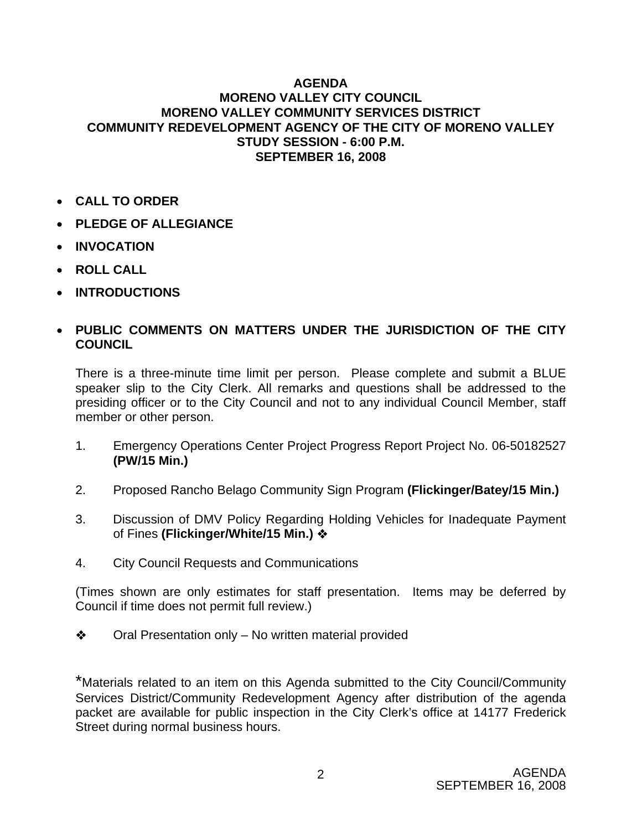#### **AGENDA MORENO VALLEY CITY COUNCIL MORENO VALLEY COMMUNITY SERVICES DISTRICT COMMUNITY REDEVELOPMENT AGENCY OF THE CITY OF MORENO VALLEY STUDY SESSION - 6:00 P.M. SEPTEMBER 16, 2008**

- **CALL TO ORDER**
- **PLEDGE OF ALLEGIANCE**
- **INVOCATION**
- **ROLL CALL**
- **INTRODUCTIONS**

#### • **PUBLIC COMMENTS ON MATTERS UNDER THE JURISDICTION OF THE CITY COUNCIL**

There is a three-minute time limit per person. Please complete and submit a BLUE speaker slip to the City Clerk. All remarks and questions shall be addressed to the presiding officer or to the City Council and not to any individual Council Member, staff member or other person.

- 1. Emergency Operations Center Project Progress Report Project No. 06-50182527 **(PW/15 Min.)**
- 2. Proposed Rancho Belago Community Sign Program **(Flickinger/Batey/15 Min.)**
- 3. Discussion of DMV Policy Regarding Holding Vehicles for Inadequate Payment of Fines **(Flickinger/White/15 Min.)**
- 4. City Council Requests and Communications

(Times shown are only estimates for staff presentation. Items may be deferred by Council if time does not permit full review.)

 $\triangleleft$  Oral Presentation only – No written material provided

\*Materials related to an item on this Agenda submitted to the City Council/Community Services District/Community Redevelopment Agency after distribution of the agenda packet are available for public inspection in the City Clerk's office at 14177 Frederick Street during normal business hours.